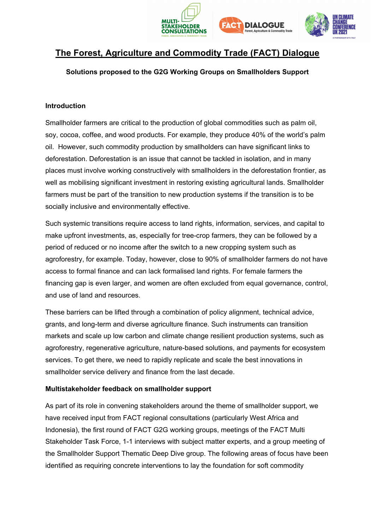





# **The Forest, Agriculture and Commodity Trade (FACT) Dialogue**

### **Solutions proposed to the G2G Working Groups on Smallholders Support**

#### **Introduction**

Smallholder farmers are critical to the production of global commodities such as palm oil, soy, cocoa, coffee, and wood products. For example, they produce 40% of the world's palm oil. However, such commodity production by smallholders can have significant links to deforestation. Deforestation is an issue that cannot be tackled in isolation, and in many places must involve working constructively with smallholders in the deforestation frontier, as well as mobilising significant investment in restoring existing agricultural lands. Smallholder farmers must be part of the transition to new production systems if the transition is to be socially inclusive and environmentally effective.

Such systemic transitions require access to land rights, information, services, and capital to make upfront investments, as, especially for tree-crop farmers, they can be followed by a period of reduced or no income after the switch to a new cropping system such as agroforestry, for example. Today, however, close to 90% of smallholder farmers do not have access to formal finance and can lack formalised land rights. For female farmers the financing gap is even larger, and women are often excluded from equal governance, control, and use of land and resources.

These barriers can be lifted through a combination of policy alignment, technical advice, grants, and long-term and diverse agriculture finance. Such instruments can transition markets and scale up low carbon and climate change resilient production systems, such as agroforestry, regenerative agriculture, nature-based solutions, and payments for ecosystem services. To get there, we need to rapidly replicate and scale the best innovations in smallholder service delivery and finance from the last decade.

#### **Multistakeholder feedback on smallholder support**

As part of its role in convening stakeholders around the theme of smallholder support, we have received input from FACT regional consultations (particularly West Africa and Indonesia), the first round of FACT G2G working groups, meetings of the FACT Multi Stakeholder Task Force, 1-1 interviews with subject matter experts, and a group meeting of the Smallholder Support Thematic Deep Dive group. The following areas of focus have been identified as requiring concrete interventions to lay the foundation for soft commodity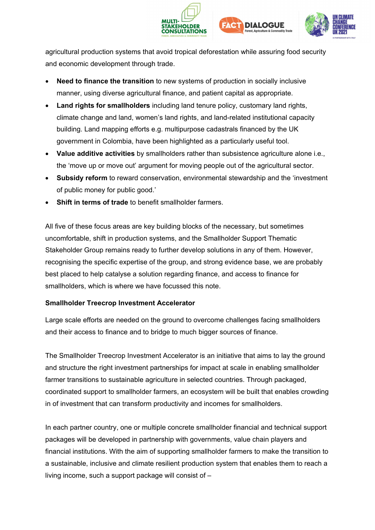



agricultural production systems that avoid tropical deforestation while assuring food security and economic development through trade.

- **Need to finance the transition** to new systems of production in socially inclusive manner, using diverse agricultural finance, and patient capital as appropriate.
- **Land rights for smallholders** including land tenure policy, customary land rights, climate change and land, women's land rights, and land-related institutional capacity building. Land mapping efforts e.g. multipurpose cadastrals financed by the UK government in Colombia, have been highlighted as a particularly useful tool.
- **Value additive activities** by smallholders rather than subsistence agriculture alone i.e., the 'move up or move out' argument for moving people out of the agricultural sector.
- **Subsidy reform** to reward conservation, environmental stewardship and the 'investment of public money for public good.'
- **Shift in terms of trade** to benefit smallholder farmers.

All five of these focus areas are key building blocks of the necessary, but sometimes uncomfortable, shift in production systems, and the Smallholder Support Thematic Stakeholder Group remains ready to further develop solutions in any of them. However, recognising the specific expertise of the group, and strong evidence base, we are probably best placed to help catalyse a solution regarding finance, and access to finance for smallholders, which is where we have focussed this note.

## **Smallholder Treecrop Investment Accelerator**

Large scale efforts are needed on the ground to overcome challenges facing smallholders and their access to finance and to bridge to much bigger sources of finance.

The Smallholder Treecrop Investment Accelerator is an initiative that aims to lay the ground and structure the right investment partnerships for impact at scale in enabling smallholder farmer transitions to sustainable agriculture in selected countries. Through packaged, coordinated support to smallholder farmers, an ecosystem will be built that enables crowding in of investment that can transform productivity and incomes for smallholders.

In each partner country, one or multiple concrete smallholder financial and technical support packages will be developed in partnership with governments, value chain players and financial institutions. With the aim of supporting smallholder farmers to make the transition to a sustainable, inclusive and climate resilient production system that enables them to reach a living income, such a support package will consist of –